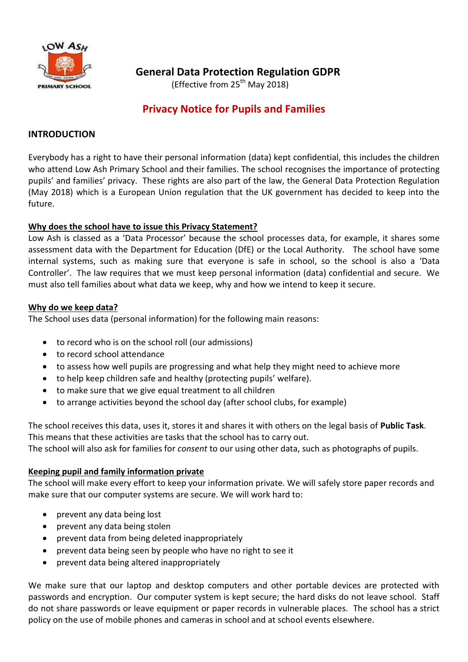

## **General Data Protection Regulation GDPR**

(Effective from  $25<sup>th</sup>$  May 2018)

# **Privacy Notice for Pupils and Families**

#### **INTRODUCTION**

Everybody has a right to have their personal information (data) kept confidential, this includes the children who attend Low Ash Primary School and their families. The school recognises the importance of protecting pupils͛ and families͛ privacy. These rights are also part of the law, the General Data Protection Regulation (May 2018) which is a European Union regulation that the UK government has decided to keep into the future.

#### **Why does the school have to issue this Privacy Statement?**

Low Ash is classed as a 'Data Processor' because the school processes data, for example, it shares some assessment data with the Department for Education (DfE) or the Local Authority. The school have some internal systems, such as making sure that everyone is safe in school, so the school is also a 'Data Controller'. The law requires that we must keep personal information (data) confidential and secure. We must also tell families about what data we keep, why and how we intend to keep it secure.

#### **Why do we keep data?**

The School uses data (personal information) for the following main reasons:

- to record who is on the school roll (our admissions)
- to record school attendance
- to assess how well pupils are progressing and what help they might need to achieve more
- to help keep children safe and healthy (protecting pupils' welfare).
- to make sure that we give equal treatment to all children
- to arrange activities beyond the school day (after school clubs, for example)

The school receives this data, uses it, stores it and shares it with others on the legal basis of **Public Task**. This means that these activities are tasks that the school has to carry out.

The school will also ask for families for *consent* to our using other data, such as photographs of pupils.

#### **Keeping pupil and family information private**

The school will make every effort to keep your information private. We will safely store paper records and make sure that our computer systems are secure. We will work hard to:

- prevent any data being lost
- prevent any data being stolen
- prevent data from being deleted inappropriately
- prevent data being seen by people who have no right to see it
- prevent data being altered inappropriately

We make sure that our laptop and desktop computers and other portable devices are protected with passwords and encryption. Our computer system is kept secure; the hard disks do not leave school. Staff do not share passwords or leave equipment or paper records in vulnerable places. The school has a strict policy on the use of mobile phones and cameras in school and at school events elsewhere.